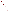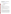# **Technical Factsheet on: ALDICARB AND METABOLITES**

[List of Contaminants](file:\\w1818tdcay008\share\Projects\rdp90003\_safewater\hfacts.html) 

As part of the Drinking Water and Health pages, this fact sheet is part of a larger publication: **National Primary Drinking Water Regulations** 

Drinking Water Standards (in mg/L)

## **MCLG MCL HAL(child)**

| Aldicarb                                                              | $0.001$ 0.003 none |  |  |
|-----------------------------------------------------------------------|--------------------|--|--|
| Aldicarb Sulfone 0.001 0.003 none                                     |                    |  |  |
| Aldicarb Sulfoxide 0.001 0.004 none                                   |                    |  |  |
| NOTE: The MCLs for aldicarb and its metabolites are presently stayed. |                    |  |  |

#### **Health Effects Summary**

Acute: EPA has found aldicarb to potentially cause nausea, diarrhea and relatively minor neurological symptoms resulting from acute exposures at levels above the MCL. These effects appear to be rapidly and completely reversible after exposure. No Health Advisories have been established for short-term exposures.

Chronic: Aldicarb has the potential to cause neurological effects such as sweating, pupillary constriction and leg weakness from chronic exposure at levels above the MCL. These effects are associated with the inhibition of cholinesterase in blood and nerve tissue.

Cancer: There is inadequate evidence to state whether or not either aldicarb or its metabolites have the potential to cause cancer from lifetime exposures in drinking water.

## **Usage Patterns**

Aldicarb is applied to the soil for control of chewing  $\&$  sucking insects (aphids, whiteflies, leaf miners, soil-dwelling insects), spider mites, and nematodes. It is used in glasshouse & outdoor ornamentals, and on the following crops; cotton, sugar beet, fodder beet, strawberries, potatoes, onions, hops, vine nurseries, tree nurseries, groundnuts, soya beans, citrus fruit, bananas, coffee, sorghum, pecans, sweet potatoes  $\&$  other crops. Cotton crops account for 83% of aldicarb use.

As the result of the aldicarb contamination of drinking water wells, Union Carbide Corporation excluded the use of aldicarb products in Suffolk County, Long Island, New York. The company also limited the use of aldicarb products to once every two years and only after plant emergency in the States of Maine and Wisconsin and the Counties of Hartford in Connecticut, Kent and New Castle in Delaware, Franklin and Hampshire in Massachusetts, Worchester in Maryland,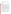Washington in Rhode Island, and Accomack and Northampton in Virginia. Atlantic, Burlington, Cumberland, Monmouth and Salem in New Jersey, Newport and

Aldicarb may be applied at planting at the 1 lb active ingredient/acre rate for aphid control in the State of Maine.

#### **Release Patterns**

Release of aldicarb to the environment will occur due to its manufacture and use as a systemic insecticide, acaricide and nematocide for soil use.

## **Environmental Fate**

If aldicarb is released to the soil it should not bind to the soil. It will be susceptible to chemical and possibly biological oxidation to form its metabolites, aldicarb sulfoxide and aldicarb sulfone. Hydrolysis is both acid and base catalyzed with examples of hydrolysis half-lives in soil at 15 deg C of 9.9 days at pH 6.34 and 7.0, 23 days at pH 7.2, and 3240 days at pH 5.4. Half-lives in soil have been reported to be 7 days in loam soil under field conditions, a few days in green house soil; a general range of persistence in soil of 1-15 days has been reported. Aldicarb degraded faster in soil which had been previously treated with carbofuran.

If aldicarb is released to water it should not adsorb to sediments or bioconcentrate in aquatic organisms. Aldicarb does not degrade in groundwater under aerobic conditions unless relatively high pH (pH 8.5) exists; reported half-lives in groundwater under anaerobic conditions at pH 7.7-8.3 were 62-1300 days. Aldicarb has been shown to be formed from aldicarb sulfoxide in groundwater under aerobic conditions and under anaerobic conditions in groundwater to which glucose had been added. Aldicarb may volatilize from soil with the rate of its evaporation increasing with the rate of evaporation for water. Aldicarb may leach to the groundwater in some soils where the rates of hydrolysis and oxidation are relatively slow, as in the slow hydrolysis of aldicarb reported at pH's around 5.4. It will be subject to hydrolysis which is both acid and base catalyzed with examples of half-lives of 131 days at pH 3.95 and 6 days at pH 8.85 at 20 deg C, and 3240 days at pH 5.5 and 15 deg C.

No information on biodegradation in natural waters was found. It is susceptible to photolysis when irradiated at 254 nm, but may not be photolyzed by light >290 nm. Volatilization from water should not be an important fate process. Half-life is 5 days in lake and pond water.

If aldicarb is released to the atmosphere it will be subject to reaction with hydroxyl radicals with an estimated vapor phase half-life of 3.49 days. No information on photolysis at environmentally significant wavelengths was found.

The propensity of aldicarb for bioaccumulation and biomagnification was tested in a model ecosystem with a terrestrial-aquatic interface and a seven-element food chain. Aldicarb was shown to have a high degree of persistence and a low potential for biodegradability.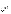A BCF of 42 for an unspecified species of fish in a microcosm study has been reported. A BCF of 4 has been estimated from water solubility. Based on the reported and estimated BCF, aldicarb should not bioconcentrate in aquatic organisms.

### **Chemical/ Physical Properties**

CAS Number: 116-06-3

Color/ Form/Odor: White crystals with slightly sulfurous odor; Available in granular formulations containing 5 to 15% aldicarb

M.P.: 99-100 C B.P.: N/A

Vapor Pressure: 1x10-4 mm Hg at 25 C

Octanol/Water Partition (Kow): Log Kow =  $1.13$ 

Density/Spec. Grav.: 1.2 at 25 C

Solubility: 17 ug/L of water at 25 C

Density/Spec. Grav.: 1.2 at 25 C<br>Solubility: 17 ug/L of water at 25 C<br>Soil sorption coefficient: Koc ranges from 8-37; high to very high mobility in soil

Odor/Taste Thresholds: N/A

Bioconcentration Factor: 42 in fish; not expected to bioconcentrate in aquatic organisms.

Henry's Law Coefficient: 1.5x10-9 atm-cu m/mole;

Trade Names/Synonyms: Temik; Carbamyl; Carbanolate; Sulfone aldoxycarb; Union Carbide 21149

#### **Other Regulatory Information**

*NOTE:* The MCLs for aldicarb and its metabolites are presently stayed. Systems must monitor for these contaminants by December 31, 1995.

Monitoring For Ground/Surface Water Sources:

 Repeat Frequency- none Triggers - none Initial Frequency- 4 quarterly samples

Analysis:

**Reference Source Method Numbers**  EPA 600/4-88-039 531.1